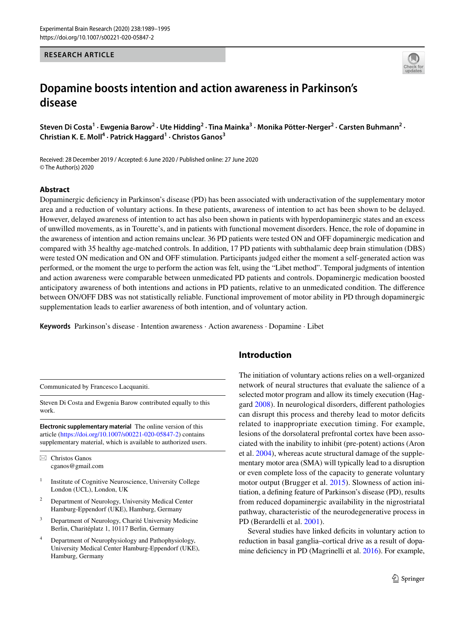## **RESEARCH ARTICLE**



# **Dopamine boosts intention and action awareness in Parkinson's disease**

Steven Di Costa<sup>1</sup> · Ewgenia Barow<sup>2</sup> · Ute Hidding<sup>2</sup> · Tina Mainka<sup>3</sup> · Monika Pötter-Nerger<sup>2</sup> · Carsten Buhmann<sup>2</sup> · **Christian K. E. Moll4 · Patrick Haggard1 · Christos Ganos3**

Received: 28 December 2019 / Accepted: 6 June 2020 / Published online: 27 June 2020 © The Author(s) 2020

# **Abstract**

Dopaminergic deficiency in Parkinson's disease (PD) has been associated with underactivation of the supplementary motor area and a reduction of voluntary actions. In these patients, awareness of intention to act has been shown to be delayed. However, delayed awareness of intention to act has also been shown in patients with hyperdopaminergic states and an excess of unwilled movements, as in Tourette's, and in patients with functional movement disorders. Hence, the role of dopamine in the awareness of intention and action remains unclear. 36 PD patients were tested ON and OFF dopaminergic medication and compared with 35 healthy age-matched controls. In addition, 17 PD patients with subthalamic deep brain stimulation (DBS) were tested ON medication and ON and OFF stimulation. Participants judged either the moment a self-generated action was performed, or the moment the urge to perform the action was felt, using the "Libet method". Temporal judgments of intention and action awareness were comparable between unmedicated PD patients and controls. Dopaminergic medication boosted anticipatory awareness of both intentions and actions in PD patients, relative to an unmedicated condition. The diference between ON/OFF DBS was not statistically reliable. Functional improvement of motor ability in PD through dopaminergic supplementation leads to earlier awareness of both intention, and of voluntary action.

**Keywords** Parkinson's disease · Intention awareness · Action awareness · Dopamine · Libet

Communicated by Francesco Lacquaniti.

Steven Di Costa and Ewgenia Barow contributed equally to this work.

**Electronic supplementary material** The online version of this article [\(https://doi.org/10.1007/s00221-020-05847-2\)](https://doi.org/10.1007/s00221-020-05847-2) contains supplementary material, which is available to authorized users.

 $\boxtimes$  Christos Ganos cganos@gmail.com

- Institute of Cognitive Neuroscience, University College London (UCL), London, UK
- <sup>2</sup> Department of Neurology, University Medical Center Hamburg-Eppendorf (UKE), Hamburg, Germany
- <sup>3</sup> Department of Neurology, Charité University Medicine Berlin, Charitéplatz 1, 10117 Berlin, Germany
- Department of Neurophysiology and Pathophysiology, University Medical Center Hamburg-Eppendorf (UKE), Hamburg, Germany

# **Introduction**

The initiation of voluntary actions relies on a well-organized network of neural structures that evaluate the salience of a selected motor program and allow its timely execution (Haggard [2008\)](#page-5-0). In neurological disorders, diferent pathologies can disrupt this process and thereby lead to motor deficits related to inappropriate execution timing. For example, lesions of the dorsolateral prefrontal cortex have been associated with the inability to inhibit (pre-potent) actions (Aron et al. [2004\)](#page-5-1), whereas acute structural damage of the supplementary motor area (SMA) will typically lead to a disruption or even complete loss of the capacity to generate voluntary motor output (Brugger et al. [2015\)](#page-5-2). Slowness of action initiation, a defning feature of Parkinson's disease (PD), results from reduced dopaminergic availability in the nigrostriatal pathway, characteristic of the neurodegenerative process in PD (Berardelli et al. [2001\)](#page-5-3).

Several studies have linked deficits in voluntary action to reduction in basal ganglia–cortical drive as a result of dopa-mine deficiency in PD (Magrinelli et al. [2016\)](#page-6-0). For example,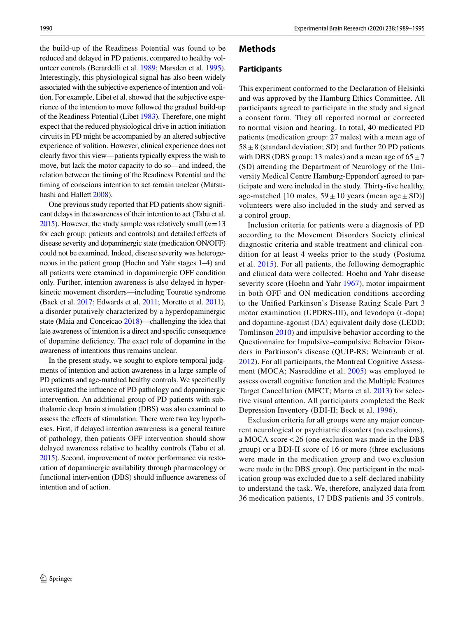the build-up of the Readiness Potential was found to be reduced and delayed in PD patients, compared to healthy volunteer controls (Berardelli et al. [1989](#page-5-4); Marsden et al. [1995](#page-6-1)). Interestingly, this physiological signal has also been widely associated with the subjective experience of intention and volition. For example, Libet et al. showed that the subjective experience of the intention to move followed the gradual build-up of the Readiness Potential (Libet [1983](#page-6-2)). Therefore, one might expect that the reduced physiological drive in action initiation circuits in PD might be accompanied by an altered subjective experience of volition. However, clinical experience does not clearly favor this view—patients typically express the wish to move, but lack the motor capacity to do so—and indeed, the relation between the timing of the Readiness Potential and the timing of conscious intention to act remain unclear (Matsuhashi and Hallett [2008\)](#page-6-3).

One previous study reported that PD patients show signifcant delays in the awareness of their intention to act (Tabu et al. [2015](#page-6-4)). However, the study sample was relatively small  $(n=13)$ for each group: patients and controls) and detailed effects of disease severity and dopaminergic state (medication ON/OFF) could not be examined. Indeed, disease severity was heterogeneous in the patient group (Hoehn and Yahr stages 1–4) and all patients were examined in dopaminergic OFF condition only. Further, intention awareness is also delayed in hyperkinetic movement disorders––including Tourette syndrome (Baek et al. [2017;](#page-5-5) Edwards et al. [2011](#page-5-6); Moretto et al. [2011](#page-6-5)), a disorder putatively characterized by a hyperdopaminergic state (Maia and Conceicao [2018\)](#page-6-6)––challenging the idea that late awareness of intention is a direct and specifc consequence of dopamine defciency. The exact role of dopamine in the awareness of intentions thus remains unclear.

In the present study, we sought to explore temporal judgments of intention and action awareness in a large sample of PD patients and age-matched healthy controls. We specifcally investigated the infuence of PD pathology and dopaminergic intervention. An additional group of PD patients with subthalamic deep brain stimulation (DBS) was also examined to assess the efects of stimulation. There were two key hypotheses. First, if delayed intention awareness is a general feature of pathology, then patients OFF intervention should show delayed awareness relative to healthy controls (Tabu et al. [2015\)](#page-6-4). Second, improvement of motor performance via restoration of dopaminergic availability through pharmacology or functional intervention (DBS) should infuence awareness of intention and of action.

## **Methods**

#### **Participants**

This experiment conformed to the Declaration of Helsinki and was approved by the Hamburg Ethics Committee. All participants agreed to participate in the study and signed a consent form. They all reported normal or corrected to normal vision and hearing. In total, 40 medicated PD patients (medication group: 27 males) with a mean age of  $58 \pm 8$  (standard deviation; SD) and further 20 PD patients with DBS (DBS group: 13 males) and a mean age of  $65 \pm 7$ (SD) attending the Department of Neurology of the University Medical Centre Hamburg-Eppendorf agreed to participate and were included in the study. Thirty-fve healthy, age-matched [10 males,  $59 \pm 10$  years (mean age  $\pm$  SD)] volunteers were also included in the study and served as a control group.

Inclusion criteria for patients were a diagnosis of PD according to the Movement Disorders Society clinical diagnostic criteria and stable treatment and clinical condition for at least 4 weeks prior to the study (Postuma et al. [2015](#page-6-7)). For all patients, the following demographic and clinical data were collected: Hoehn and Yahr disease severity score (Hoehn and Yahr [1967](#page-6-8)), motor impairment in both OFF and ON medication conditions according to the Unifed Parkinson's Disease Rating Scale Part 3 motor examination (UPDRS-III), and levodopa (L-dopa) and dopamine-agonist (DA) equivalent daily dose (LEDD; Tomlinson [2010\)](#page-6-9) and impulsive behavior according to the Questionnaire for Impulsive–compulsive Behavior Disorders in Parkinson's disease (QUIP-RS; Weintraub et al. [2012](#page-6-10)). For all participants, the Montreal Cognitive Assessment (MOCA; Nasreddine et al. [2005\)](#page-6-11) was employed to assess overall cognitive function and the Multiple Features Target Cancellation (MFCT; Marra et al. [2013](#page-6-12)) for selective visual attention. All participants completed the Beck Depression Inventory (BDI-II; Beck et al. [1996](#page-5-7)).

Exclusion criteria for all groups were any major concurrent neurological or psychiatric disorders (no exclusions), a MOCA score<26 (one exclusion was made in the DBS group) or a BDI-II score of 16 or more (three exclusions were made in the medication group and two exclusion were made in the DBS group). One participant in the medication group was excluded due to a self-declared inability to understand the task. We, therefore, analyzed data from 36 medication patients, 17 DBS patients and 35 controls.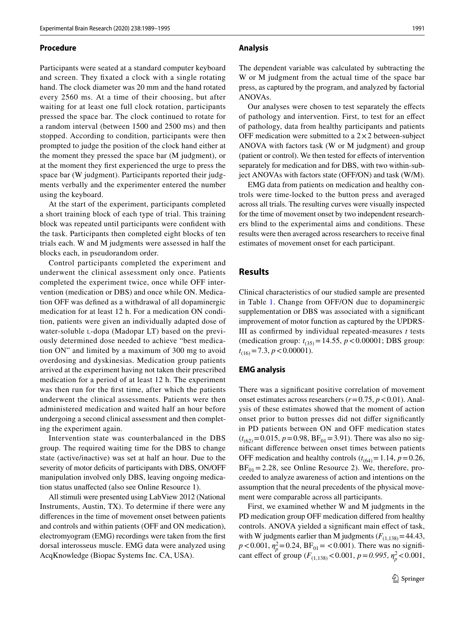#### **Procedure**

Participants were seated at a standard computer keyboard and screen. They fxated a clock with a single rotating hand. The clock diameter was 20 mm and the hand rotated every 2560 ms. At a time of their choosing, but after waiting for at least one full clock rotation, participants pressed the space bar. The clock continued to rotate for a random interval (between 1500 and 2500 ms) and then stopped. According to condition, participants were then prompted to judge the position of the clock hand either at the moment they pressed the space bar (M judgment), or at the moment they frst experienced the urge to press the space bar (W judgment). Participants reported their judgments verbally and the experimenter entered the number using the keyboard.

At the start of the experiment, participants completed a short training block of each type of trial. This training block was repeated until participants were confdent with the task. Participants then completed eight blocks of ten trials each. W and M judgments were assessed in half the blocks each, in pseudorandom order.

Control participants completed the experiment and underwent the clinical assessment only once. Patients completed the experiment twice, once while OFF intervention (medication or DBS) and once while ON. Medication OFF was defned as a withdrawal of all dopaminergic medication for at least 12 h. For a medication ON condition, patients were given an individually adapted dose of water-soluble l-dopa (Madopar LT) based on the previously determined dose needed to achieve "best medication ON" and limited by a maximum of 300 mg to avoid overdosing and dyskinesias. Medication group patients arrived at the experiment having not taken their prescribed medication for a period of at least 12 h. The experiment was then run for the frst time, after which the patients underwent the clinical assessments. Patients were then administered medication and waited half an hour before undergoing a second clinical assessment and then completing the experiment again.

Intervention state was counterbalanced in the DBS group. The required waiting time for the DBS to change state (active/inactive) was set at half an hour. Due to the severity of motor deficits of participants with DBS, ON/OFF manipulation involved only DBS, leaving ongoing medication status unafected (also see Online Resource 1).

All stimuli were presented using LabView 2012 (National Instruments, Austin, TX). To determine if there were any diferences in the time of movement onset between patients and controls and within patients (OFF and ON medication), electromyogram (EMG) recordings were taken from the frst dorsal interosseus muscle. EMG data were analyzed using AcqKnowledge (Biopac Systems Inc. CA, USA).

#### **Analysis**

The dependent variable was calculated by subtracting the W or M judgment from the actual time of the space bar press, as captured by the program, and analyzed by factorial ANOVAs.

Our analyses were chosen to test separately the efects of pathology and intervention. First, to test for an efect of pathology, data from healthy participants and patients OFF medication were submitted to a  $2 \times 2$  between-subject ANOVA with factors task (W or M judgment) and group (patient or control). We then tested for efects of intervention separately for medication and for DBS, with two within-subject ANOVAs with factors state (OFF/ON) and task (W/M).

EMG data from patients on medication and healthy controls were time-locked to the button press and averaged across all trials. The resulting curves were visually inspected for the time of movement onset by two independent researchers blind to the experimental aims and conditions. These results were then averaged across researchers to receive fnal estimates of movement onset for each participant.

# **Results**

Clinical characteristics of our studied sample are presented in Table [1](#page-3-0). Change from OFF/ON due to dopaminergic supplementation or DBS was associated with a significant improvement of motor function as captured by the UPDRS-III as confrmed by individual repeated-measures *t* tests (medication group:  $t_{(35)} = 14.55$ ,  $p < 0.00001$ ; DBS group:  $t_{(16)} = 7.3$ ,  $p < 0.00001$ ).

#### **EMG analysis**

There was a signifcant positive correlation of movement onset estimates across researchers (*r*=0.75, *p*<0.01). Analysis of these estimates showed that the moment of action onset prior to button presses did not difer signifcantly in PD patients between ON and OFF medication states  $(t_{(62)}=0.015, p=0.98, BF_{01}=3.91)$ . There was also no signifcant diference between onset times between patients OFF medication and healthy controls  $(t_{(64)}=1.14, p=0.26,$  $BF_{01} = 2.28$ , see Online Resource 2). We, therefore, proceeded to analyze awareness of action and intentions on the assumption that the neural precedents of the physical movement were comparable across all participants.

First, we examined whether W and M judgments in the PD medication group OFF medication difered from healthy controls. ANOVA yielded a signifcant main efect of task, with W judgments earlier than M judgments  $(F_{(1,138)}=44.43)$ ,  $p < 0.001$ ,  $\eta_p^2 = 0.24$ ,  $BF_{01} = < 0.001$ ). There was no significant effect of group  $(F_{(1,138)} < 0.001, p = 0.995, \eta_p^2 < 0.001,$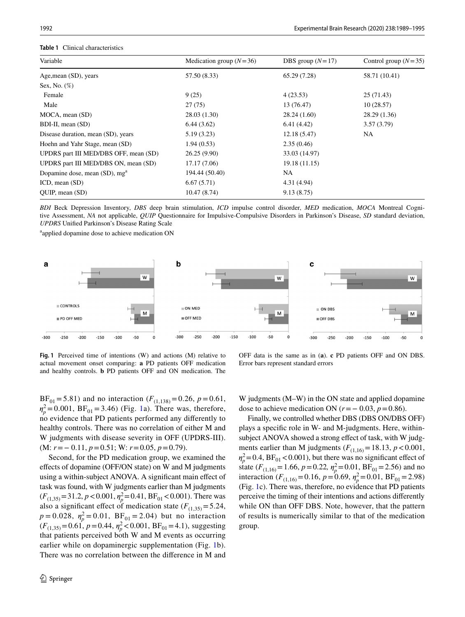## <span id="page-3-0"></span>**Table 1** Clinical characteristics

| Variable                                  | Medication group $(N=36)$ | DBS group $(N=17)$ | Control group $(N=35)$ |
|-------------------------------------------|---------------------------|--------------------|------------------------|
| Age, mean (SD), years                     | 57.50 (8.33)              | 65.29 (7.28)       | 58.71 (10.41)          |
| Sex, No. $(\%)$                           |                           |                    |                        |
| Female                                    | 9(25)                     | 4(23.53)           | 25(71.43)              |
| Male                                      | 27(75)                    | 13 (76.47)         | 10(28.57)              |
| MOCA, mean (SD)                           | 28.03 (1.30)              | 28.24(1.60)        | 28.29(1.36)            |
| BDI-II, mean (SD)                         | 6.44(3.62)                | 6.41(4.42)         | 3.57(3.79)             |
| Disease duration, mean (SD), years        | 5.19(3.23)                | 12.18(5.47)        | NA                     |
| Hoehn and Yahr Stage, mean (SD)           | 1.94(0.53)                | 2.35(0.46)         |                        |
| UPDRS part III MED/DBS OFF, mean (SD)     | 26.25(9.90)               | 33.03 (14.97)      |                        |
| UPDRS part III MED/DBS ON, mean (SD)      | 17.17 (7.06)              | 19.18 (11.15)      |                        |
| Dopamine dose, mean (SD), mg <sup>a</sup> | 194.44 (50.40)            | NA                 |                        |
| $ICD$ , mean $(SD)$                       | 6.67(5.71)                | 4.31(4.94)         |                        |
| OUIP, mean (SD)                           | 10.47(8.74)               | 9.13(8.75)         |                        |

*BDI* Beck Depression Inventory, *DBS* deep brain stimulation, *ICD* impulse control disorder, *MED* medication, *MOCA* Montreal Cognitive Assessment, *NA* not applicable, *QUIP* Questionnaire for Impulsive-Compulsive Disorders in Parkinson's Disease, *SD* standard deviation, *UPDRS* Unifed Parkinson's Disease Rating Scale

applied dopamine dose to achieve medication ON



<span id="page-3-1"></span>**Fig. 1** Perceived time of intentions (W) and actions (M) relative to actual movement onset comparing: **a** PD patients OFF medication and healthy controls. **b** PD patients OFF and ON medication. The

OFF data is the same as in (**a**). **c** PD patients OFF and ON DBS. Error bars represent standard errors

 $BF_{01} = 5.81$ ) and no interaction ( $F_{(1,138)} = 0.26$ ,  $p = 0.61$ ,  $\eta_p^2 = 0.001$ ,  $BF_{01} = 3.46$ ) (Fig. [1a](#page-3-1)). There was, therefore, no evidence that PD patients performed any diferently to healthy controls. There was no correlation of either M and W judgments with disease severity in OFF (UPDRS-III). (M: *r*=− 0.11, *p*=0.51; W: *r*=0.05, *p*=0.79).

Second, for the PD medication group, we examined the efects of dopamine (OFF/ON state) on W and M judgments using a within-subject ANOVA. A signifcant main efect of task was found, with W judgments earlier than M judgments  $(F_{(1,35)} = 31.2, p < 0.001, \eta_p^2 = 0.41, BF_{01} < 0.001$ . There was also a significant effect of medication state  $(F_{(1,35)}=5.24,$  $p = 0.028$ ,  $\eta_p^2 = 0.01$ ,  $BF_{01} = 2.04$ ) but no interaction  $(F_{(1,35)}=0.61, p=0.44, \eta_p^2<0.001, BF_{01}=4.1)$ , suggesting that patients perceived both W and M events as occurring earlier while on dopaminergic supplementation (Fig. [1](#page-3-1)b). There was no correlation between the diference in M and

W judgments (M–W) in the ON state and applied dopamine dose to achieve medication ON ( $r = -0.03$ ,  $p = 0.86$ ).

Finally, we controlled whether DBS (DBS ON/DBS OFF) plays a specifc role in W- and M-judgments. Here, withinsubject ANOVA showed a strong effect of task, with W judgments earlier than M judgments  $(F_{(1,16)} = 18.13, p < 0.001,$  $\eta_p^2$ =0.4, BF<sub>01</sub> < 0.001), but there was no significant effect of state  $(F_{(1,16)} = 1.66, p = 0.22, \eta_p^2 = 0.01, BF_{01} = 2.56)$  and no interaction  $(F_{(1,16)}=0.16, p=0.69, \eta_p^2=0.01, BF_{01}=2.98)$ (Fig. [1](#page-3-1)c). There was, therefore, no evidence that PD patients perceive the timing of their intentions and actions diferently while ON than OFF DBS. Note, however, that the pattern of results is numerically similar to that of the medication group.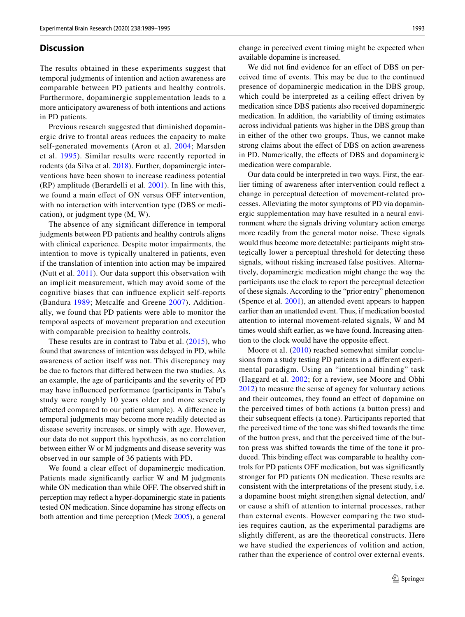#### **Discussion**

The results obtained in these experiments suggest that temporal judgments of intention and action awareness are comparable between PD patients and healthy controls. Furthermore, dopaminergic supplementation leads to a more anticipatory awareness of both intentions and actions in PD patients.

Previous research suggested that diminished dopaminergic drive to frontal areas reduces the capacity to make self-generated movements (Aron et al. [2004](#page-5-1); Marsden et al. [1995\)](#page-6-1). Similar results were recently reported in rodents (da Silva et al. [2018\)](#page-5-8). Further, dopaminergic interventions have been shown to increase readiness potential (RP) amplitude (Berardelli et al. [2001\)](#page-5-3). In line with this, we found a main efect of ON versus OFF intervention, with no interaction with intervention type (DBS or medication), or judgment type (M, W).

The absence of any signifcant diference in temporal judgments between PD patients and healthy controls aligns with clinical experience. Despite motor impairments, the intention to move is typically unaltered in patients, even if the translation of intention into action may be impaired (Nutt et al. [2011](#page-6-13)). Our data support this observation with an implicit measurement, which may avoid some of the cognitive biases that can infuence explicit self-reports (Bandura [1989;](#page-5-9) Metcalfe and Greene [2007\)](#page-6-14). Additionally, we found that PD patients were able to monitor the temporal aspects of movement preparation and execution with comparable precision to healthy controls.

These results are in contrast to Tabu et al. ([2015\)](#page-6-4), who found that awareness of intention was delayed in PD, while awareness of action itself was not. This discrepancy may be due to factors that difered between the two studies. As an example, the age of participants and the severity of PD may have infuenced performance (participants in Tabu's study were roughly 10 years older and more severely afected compared to our patient sample). A diference in temporal judgments may become more readily detected as disease severity increases, or simply with age. However, our data do not support this hypothesis, as no correlation between either W or M judgments and disease severity was observed in our sample of 36 patients with PD.

We found a clear effect of dopaminergic medication. Patients made signifcantly earlier W and M judgments while ON medication than while OFF. The observed shift in perception may refect a hyper-dopaminergic state in patients tested ON medication. Since dopamine has strong efects on both attention and time perception (Meck [2005](#page-6-15)), a general

change in perceived event timing might be expected when available dopamine is increased.

We did not find evidence for an effect of DBS on perceived time of events. This may be due to the continued presence of dopaminergic medication in the DBS group, which could be interpreted as a ceiling effect driven by medication since DBS patients also received dopaminergic medication. In addition, the variability of timing estimates across individual patients was higher in the DBS group than in either of the other two groups. Thus, we cannot make strong claims about the efect of DBS on action awareness in PD. Numerically, the efects of DBS and dopaminergic medication were comparable.

Our data could be interpreted in two ways. First, the earlier timing of awareness after intervention could refect a change in perceptual detection of movement-related processes. Alleviating the motor symptoms of PD via dopaminergic supplementation may have resulted in a neural environment where the signals driving voluntary action emerge more readily from the general motor noise. These signals would thus become more detectable: participants might strategically lower a perceptual threshold for detecting these signals, without risking increased false positives. Alternatively, dopaminergic medication might change the way the participants use the clock to report the perceptual detection of these signals. According to the "prior entry" phenomenon (Spence et al. [2001\)](#page-6-16), an attended event appears to happen earlier than an unattended event. Thus, if medication boosted attention to internal movement-related signals, W and M times would shift earlier, as we have found. Increasing attention to the clock would have the opposite efect.

Moore et al. ([2010](#page-6-17)) reached somewhat similar conclusions from a study testing PD patients in a diferent experimental paradigm. Using an "intentional binding" task (Haggard et al. [2002](#page-6-18); for a review, see Moore and Obhi [2012](#page-6-19)) to measure the sense of agency for voluntary actions and their outcomes, they found an efect of dopamine on the perceived times of both actions (a button press) and their subsequent efects (a tone). Participants reported that the perceived time of the tone was shifted towards the time of the button press, and that the perceived time of the button press was shifted towards the time of the tone it produced. This binding efect was comparable to healthy controls for PD patients OFF medication, but was signifcantly stronger for PD patients ON medication. These results are consistent with the interpretations of the present study, i.e. a dopamine boost might strengthen signal detection, and/ or cause a shift of attention to internal processes, rather than external events. However comparing the two studies requires caution, as the experimental paradigms are slightly diferent, as are the theoretical constructs. Here we have studied the experiences of volition and action, rather than the experience of control over external events.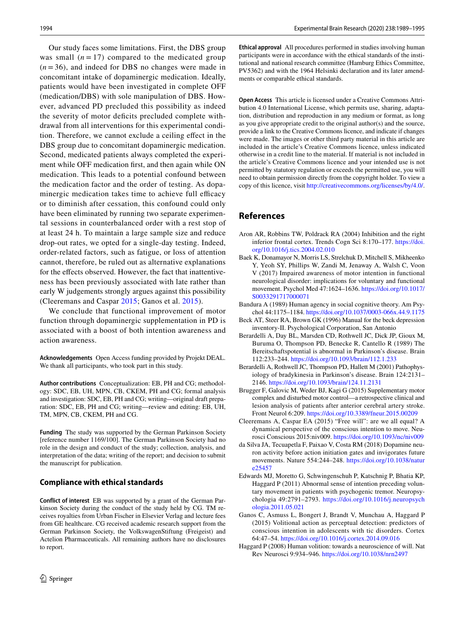Our study faces some limitations. First, the DBS group was small  $(n = 17)$  compared to the medicated group  $(n=36)$ , and indeed for DBS no changes were made in concomitant intake of dopaminergic medication. Ideally, patients would have been investigated in complete OFF (medication/DBS) with sole manipulation of DBS. However, advanced PD precluded this possibility as indeed the severity of motor deficits precluded complete withdrawal from all interventions for this experimental condition. Therefore, we cannot exclude a ceiling efect in the DBS group due to concomitant dopaminergic medication. Second, medicated patients always completed the experiment while OFF medication frst, and then again while ON medication. This leads to a potential confound between the medication factor and the order of testing. As dopaminergic medication takes time to achieve full efficacy or to diminish after cessation, this confound could only have been eliminated by running two separate experimental sessions in counterbalanced order with a rest stop of at least 24 h. To maintain a large sample size and reduce drop-out rates, we opted for a single-day testing. Indeed, order-related factors, such as fatigue, or loss of attention cannot, therefore, be ruled out as alternative explanations for the effects observed. However, the fact that inattentiveness has been previously associated with late rather than early W judgements strongly argues against this possibility (Cleeremans and Caspar [2015](#page-5-10); Ganos et al. [2015](#page-5-11)).

We conclude that functional improvement of motor function through dopaminergic supplementation in PD is associated with a boost of both intention awareness and action awareness.

**Acknowledgements** Open Access funding provided by Projekt DEAL. We thank all participants, who took part in this study.

**Author contributions** Conceptualization: EB, PH and CG; methodology: SDC, EB, UH, MPN, CB, CKEM, PH and CG; formal analysis and investigation: SDC, EB, PH and CG; writing––original draft preparation: SDC, EB, PH and CG; writing––review and editing: EB, UH, TM, MPN, CB, CKEM, PH and CG.

**Funding** The study was supported by the German Parkinson Society [reference number 1169/100]. The German Parkinson Society had no role in the design and conduct of the study; collection, analysis, and interpretation of the data; writing of the report; and decision to submit the manuscript for publication.

#### **Compliance with ethical standards**

**Conflict of interest** EB was supported by a grant of the German Parkinson Society during the conduct of the study held by CG. TM receives royalties from Urban Fischer in Elsevier Verlag and lecture fees from GE healthcare. CG received academic research support from the German Parkinson Society, the VolkswagenStiftung (Freigeist) and Actelion Pharmaceuticals. All remaining authors have no disclosures to report.

**Ethical approval** All procedures performed in studies involving human participants were in accordance with the ethical standards of the institutional and national research committee (Hamburg Ethics Committee, PV5362) and with the 1964 Helsinki declaration and its later amendments or comparable ethical standards.

**Open Access** This article is licensed under a Creative Commons Attribution 4.0 International License, which permits use, sharing, adaptation, distribution and reproduction in any medium or format, as long as you give appropriate credit to the original author(s) and the source, provide a link to the Creative Commons licence, and indicate if changes were made. The images or other third party material in this article are included in the article's Creative Commons licence, unless indicated otherwise in a credit line to the material. If material is not included in the article's Creative Commons licence and your intended use is not permitted by statutory regulation or exceeds the permitted use, you will need to obtain permission directly from the copyright holder. To view a copy of this licence, visit<http://creativecommons.org/licenses/by/4.0/>.

# **References**

- <span id="page-5-1"></span>Aron AR, Robbins TW, Poldrack RA (2004) Inhibition and the right inferior frontal cortex. Trends Cogn Sci 8:170–177. [https://doi.](https://doi.org/10.1016/j.tics.2004.02.010) [org/10.1016/j.tics.2004.02.010](https://doi.org/10.1016/j.tics.2004.02.010)
- <span id="page-5-5"></span>Baek K, Donamayor N, Morris LS, Strelchuk D, Mitchell S, Mikheenko Y, Yeoh SY, Phillips W, Zandi M, Jenaway A, Walsh C, Voon V (2017) Impaired awareness of motor intention in functional neurological disorder: implications for voluntary and functional movement. Psychol Med 47:1624–1636. [https://doi.org/10.1017/](https://doi.org/10.1017/S0033291717000071) [S0033291717000071](https://doi.org/10.1017/S0033291717000071)
- <span id="page-5-9"></span>Bandura A (1989) Human agency in social cognitive theory. Am Psychol 44:1175–1184.<https://doi.org/10.1037/0003-066x.44.9.1175>
- <span id="page-5-7"></span>Beck AT, Steer RA, Brown GK (1996) Manual for the beck depression inventory-II. Psychological Corporation, San Antonio
- <span id="page-5-4"></span>Berardelli A, Day BL, Marsden CD, Rothwell JC, Dick JP, Gioux M, Buruma O, Thompson PD, Benecke R, Cantello R (1989) The Bereitschaftspotential is abnormal in Parkinson's disease. Brain 112:233–244. <https://doi.org/10.1093/brain/112.1.233>
- <span id="page-5-3"></span>Berardelli A, Rothwell JC, Thompson PD, Hallett M (2001) Pathophysiology of bradykinesia in Parkinson's disease. Brain 124:2131– 2146. <https://doi.org/10.1093/brain/124.11.2131>
- <span id="page-5-2"></span>Brugger F, Galovic M, Weder BJ, Kagi G (2015) Supplementary motor complex and disturbed motor control––a retrospective clinical and lesion analysis of patients after anterior cerebral artery stroke. Front Neurol 6:209.<https://doi.org/10.3389/fneur.2015.00209>
- <span id="page-5-10"></span>Cleeremans A, Caspar EA (2015) "Free will": are we all equal? A dynamical perspective of the conscious intention to move. Neurosci Conscious 2015:niv009.<https://doi.org/10.1093/nc/niv009>
- <span id="page-5-8"></span>da Silva JA, Tecuapetla F, Paixao V, Costa RM (2018) Dopamine neuron activity before action initiation gates and invigorates future movements. Nature 554:244–248. [https://doi.org/10.1038/natur](https://doi.org/10.1038/nature25457) [e25457](https://doi.org/10.1038/nature25457)
- <span id="page-5-6"></span>Edwards MJ, Moretto G, Schwingenschuh P, Katschnig P, Bhatia KP, Haggard P (2011) Abnormal sense of intention preceding voluntary movement in patients with psychogenic tremor. Neuropsychologia 49:2791–2793. [https://doi.org/10.1016/j.neuropsych](https://doi.org/10.1016/j.neuropsychologia.2011.05.021) [ologia.2011.05.021](https://doi.org/10.1016/j.neuropsychologia.2011.05.021)
- <span id="page-5-11"></span>Ganos C, Asmuss L, Bongert J, Brandt V, Munchau A, Haggard P (2015) Volitional action as perceptual detection: predictors of conscious intention in adolescents with tic disorders. Cortex 64:47–54. <https://doi.org/10.1016/j.cortex.2014.09.016>
- <span id="page-5-0"></span>Haggard P (2008) Human volition: towards a neuroscience of will. Nat Rev Neurosci 9:934–946. <https://doi.org/10.1038/nrn2497>